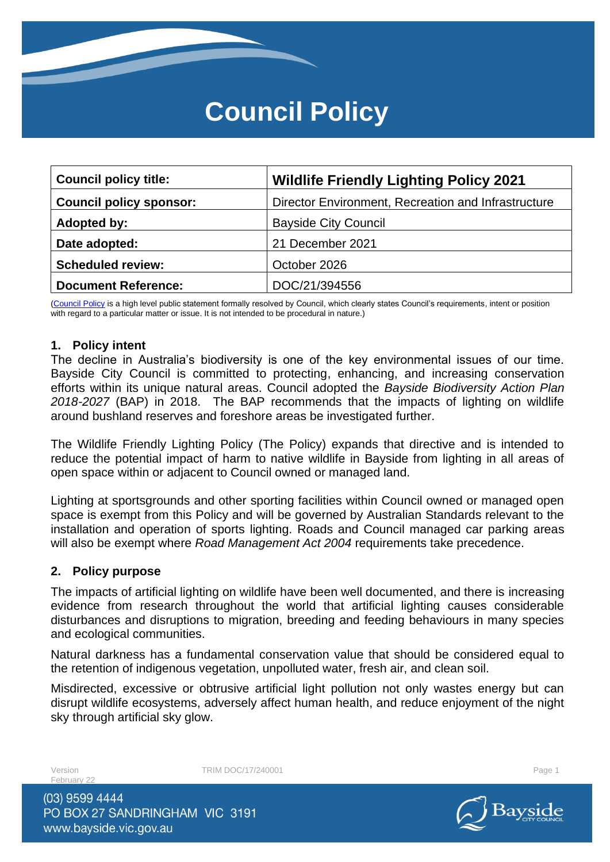# **Council Policy**

| <b>Council policy title:</b>   | <b>Wildlife Friendly Lighting Policy 2021</b>       |
|--------------------------------|-----------------------------------------------------|
| <b>Council policy sponsor:</b> | Director Environment, Recreation and Infrastructure |
| Adopted by:                    | <b>Bayside City Council</b>                         |
| Date adopted:                  | 21 December 2021                                    |
| <b>Scheduled review:</b>       | October 2026                                        |
| <b>Document Reference:</b>     | DOC/21/394556                                       |

[\(Council Policy](https://au.promapp.com/baysidecitycouncil/Process/Minimode/Permalink/Bcgi4q5dmbZyRbMpz4vtYL) is a high level public statement formally resolved by Council, which clearly states Council's requirements, intent or position with regard to a particular matter or issue. It is not intended to be procedural in nature.)

#### **1. Policy intent**

The decline in Australia's biodiversity is one of the key environmental issues of our time. Bayside City Council is committed to protecting, enhancing, and increasing conservation efforts within its unique natural areas. Council adopted the *Bayside Biodiversity Action Plan 2018-2027* (BAP) in 2018. The BAP recommends that the impacts of lighting on wildlife around bushland reserves and foreshore areas be investigated further.

The Wildlife Friendly Lighting Policy (The Policy) expands that directive and is intended to reduce the potential impact of harm to native wildlife in Bayside from lighting in all areas of open space within or adjacent to Council owned or managed land.

Lighting at sportsgrounds and other sporting facilities within Council owned or managed open space is exempt from this Policy and will be governed by Australian Standards relevant to the installation and operation of sports lighting. Roads and Council managed car parking areas will also be exempt where *Road Management Act 2004* requirements take precedence.

#### **2. Policy purpose**

The impacts of artificial lighting on wildlife have been well documented, and there is increasing evidence from research throughout the world that artificial lighting causes considerable disturbances and disruptions to migration, breeding and feeding behaviours in many species and ecological communities.

Natural darkness has a fundamental conservation value that should be considered equal to the retention of indigenous vegetation, unpolluted water, fresh air, and clean soil.

Misdirected, excessive or obtrusive artificial light pollution not only wastes energy but can disrupt wildlife ecosystems, adversely affect human health, and reduce enjoyment of the night sky through artificial sky glow.

February 22

Version **TRIM DOC/17/240001** Page 1

(03) 9599 4444 PO BOX 27 SANDRINGHAM VIC 3191 www.bayside.vic.gov.au

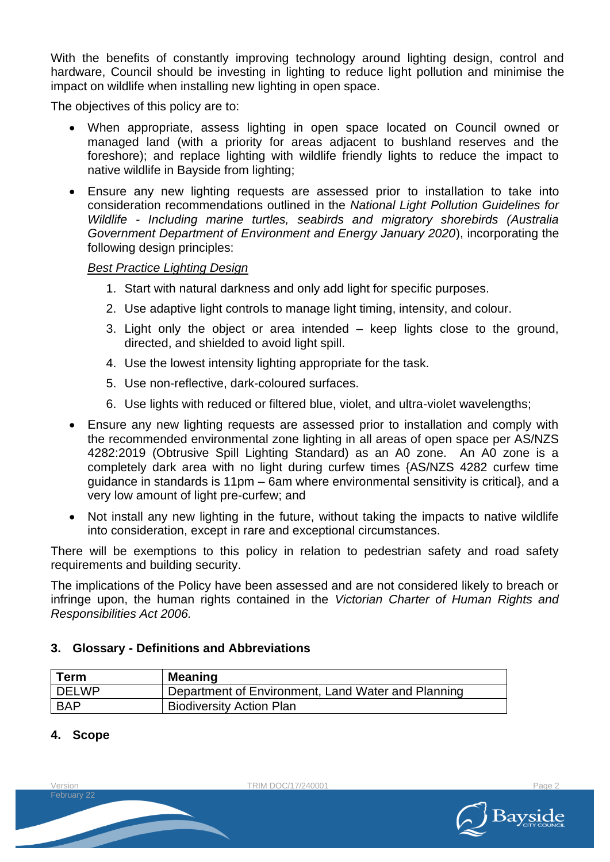With the benefits of constantly improving technology around lighting design, control and hardware, Council should be investing in lighting to reduce light pollution and minimise the impact on wildlife when installing new lighting in open space.

The objectives of this policy are to:

- When appropriate, assess lighting in open space located on Council owned or managed land (with a priority for areas adjacent to bushland reserves and the foreshore); and replace lighting with wildlife friendly lights to reduce the impact to native wildlife in Bayside from lighting;
- Ensure any new lighting requests are assessed prior to installation to take into consideration recommendations outlined in the *National Light Pollution Guidelines for Wildlife - Including marine turtles, seabirds and migratory shorebirds (Australia Government Department of Environment and Energy January 2020*), incorporating the following design principles:

#### *Best Practice Lighting Design*

- 1. Start with natural darkness and only add light for specific purposes.
- 2. Use adaptive light controls to manage light timing, intensity, and colour.
- 3. Light only the object or area intended keep lights close to the ground, directed, and shielded to avoid light spill.
- 4. Use the lowest intensity lighting appropriate for the task.
- 5. Use non-reflective, dark-coloured surfaces.
- 6. Use lights with reduced or filtered blue, violet, and ultra-violet wavelengths;
- Ensure any new lighting requests are assessed prior to installation and comply with the recommended environmental zone lighting in all areas of open space per AS/NZS 4282:2019 (Obtrusive Spill Lighting Standard) as an A0 zone. An A0 zone is a completely dark area with no light during curfew times {AS/NZS 4282 curfew time guidance in standards is 11pm – 6am where environmental sensitivity is critical}, and a very low amount of light pre-curfew; and
- Not install any new lighting in the future, without taking the impacts to native wildlife into consideration, except in rare and exceptional circumstances.

There will be exemptions to this policy in relation to pedestrian safety and road safety requirements and building security.

The implications of the Policy have been assessed and are not considered likely to breach or infringe upon, the human rights contained in the *Victorian Charter of Human Rights and Responsibilities Act 2006.*

#### **3. Glossary - Definitions and Abbreviations**

| Term    | <b>Meaning</b>                                     |
|---------|----------------------------------------------------|
| l DELWP | Department of Environment, Land Water and Planning |
| BAP     | <b>Biodiversity Action Plan</b>                    |

## **4. Scope**

February 22

Version **TRIM DOC/17/240001** Page 2

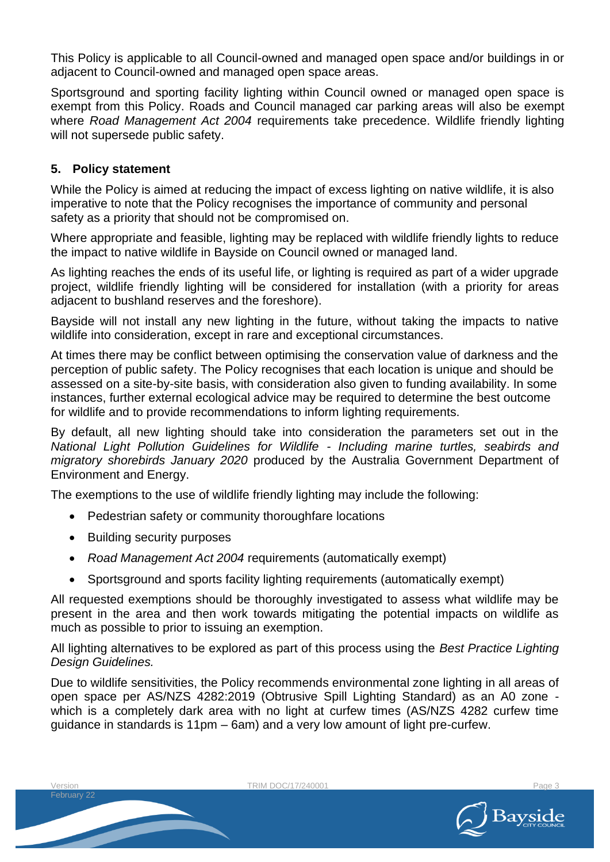This Policy is applicable to all Council-owned and managed open space and/or buildings in or adjacent to Council-owned and managed open space areas.

Sportsground and sporting facility lighting within Council owned or managed open space is exempt from this Policy. Roads and Council managed car parking areas will also be exempt where *Road Management Act 2004* requirements take precedence. Wildlife friendly lighting will not supersede public safety.

## **5. Policy statement**

While the Policy is aimed at reducing the impact of excess lighting on native wildlife, it is also imperative to note that the Policy recognises the importance of community and personal safety as a priority that should not be compromised on.

Where appropriate and feasible, lighting may be replaced with wildlife friendly lights to reduce the impact to native wildlife in Bayside on Council owned or managed land.

As lighting reaches the ends of its useful life, or lighting is required as part of a wider upgrade project, wildlife friendly lighting will be considered for installation (with a priority for areas adjacent to bushland reserves and the foreshore).

Bayside will not install any new lighting in the future, without taking the impacts to native wildlife into consideration, except in rare and exceptional circumstances.

At times there may be conflict between optimising the conservation value of darkness and the perception of public safety. The Policy recognises that each location is unique and should be assessed on a site-by-site basis, with consideration also given to funding availability. In some instances, further external ecological advice may be required to determine the best outcome for wildlife and to provide recommendations to inform lighting requirements.

By default, all new lighting should take into consideration the parameters set out in the *National Light Pollution Guidelines for Wildlife - Including marine turtles, seabirds and migratory shorebirds January 2020* produced by the Australia Government Department of Environment and Energy.

The exemptions to the use of wildlife friendly lighting may include the following:

- Pedestrian safety or community thoroughfare locations
- Building security purposes

February 22

- *Road Management Act 2004* requirements (automatically exempt)
- Sportsground and sports facility lighting requirements (automatically exempt)

All requested exemptions should be thoroughly investigated to assess what wildlife may be present in the area and then work towards mitigating the potential impacts on wildlife as much as possible to prior to issuing an exemption.

All lighting alternatives to be explored as part of this process using the *Best Practice Lighting Design Guidelines.*

Due to wildlife sensitivities, the Policy recommends environmental zone lighting in all areas of open space per AS/NZS 4282:2019 (Obtrusive Spill Lighting Standard) as an A0 zone which is a completely dark area with no light at curfew times (AS/NZS 4282 curfew time guidance in standards is 11pm – 6am) and a very low amount of light pre-curfew.

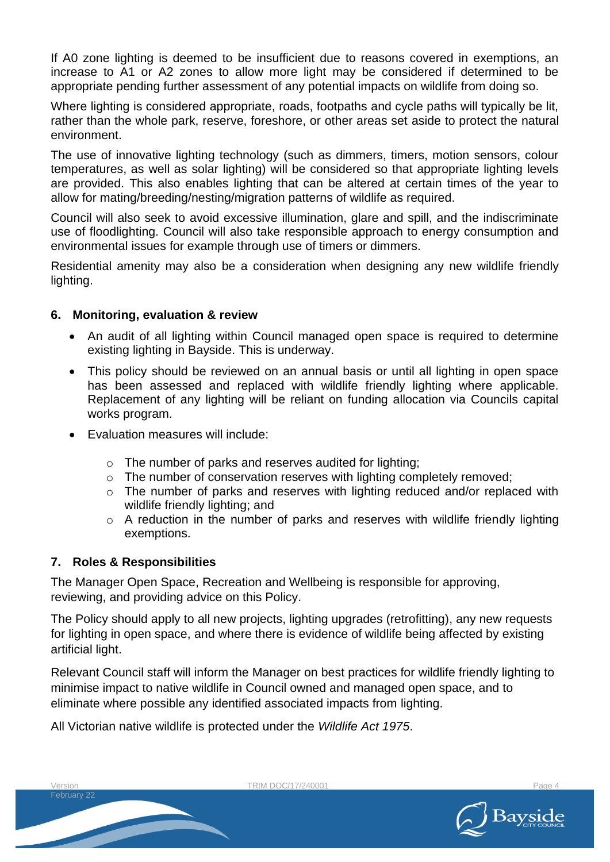If A0 zone lighting is deemed to be insufficient due to reasons covered in exemptions, an increase to A1 or A2 zones to allow more light may be considered if determined to be appropriate pending further assessment of any potential impacts on wildlife from doing so.

Where lighting is considered appropriate, roads, footpaths and cycle paths will typically be lit, rather than the whole park, reserve, foreshore, or other areas set aside to protect the natural environment.

The use of innovative lighting technology (such as dimmers, timers, motion sensors, colour temperatures, as well as solar lighting) will be considered so that appropriate lighting levels are provided. This also enables lighting that can be altered at certain times of the year to allow for mating/breeding/nesting/migration patterns of wildlife as required.

Council will also seek to avoid excessive illumination, glare and spill, and the indiscriminate use of floodlighting. Council will also take responsible approach to energy consumption and environmental issues for example through use of timers or dimmers.

Residential amenity may also be a consideration when designing any new wildlife friendly lighting.

## **6. Monitoring, evaluation & review**

- An audit of all lighting within Council managed open space is required to determine existing lighting in Bayside. This is underway.
- This policy should be reviewed on an annual basis or until all lighting in open space has been assessed and replaced with wildlife friendly lighting where applicable. Replacement of any lighting will be reliant on funding allocation via Councils capital works program.
- Evaluation measures will include:
	- o The number of parks and reserves audited for lighting;
	- o The number of conservation reserves with lighting completely removed;
	- o The number of parks and reserves with lighting reduced and/or replaced with wildlife friendly lighting; and
	- o A reduction in the number of parks and reserves with wildlife friendly lighting exemptions.

# **7. Roles & Responsibilities**

February 22

The Manager Open Space, Recreation and Wellbeing is responsible for approving, reviewing, and providing advice on this Policy.

The Policy should apply to all new projects, lighting upgrades (retrofitting), any new requests for lighting in open space, and where there is evidence of wildlife being affected by existing artificial light.

Relevant Council staff will inform the Manager on best practices for wildlife friendly lighting to minimise impact to native wildlife in Council owned and managed open space, and to eliminate where possible any identified associated impacts from lighting.

All Victorian native wildlife is protected under the *Wildlife Act 1975*.